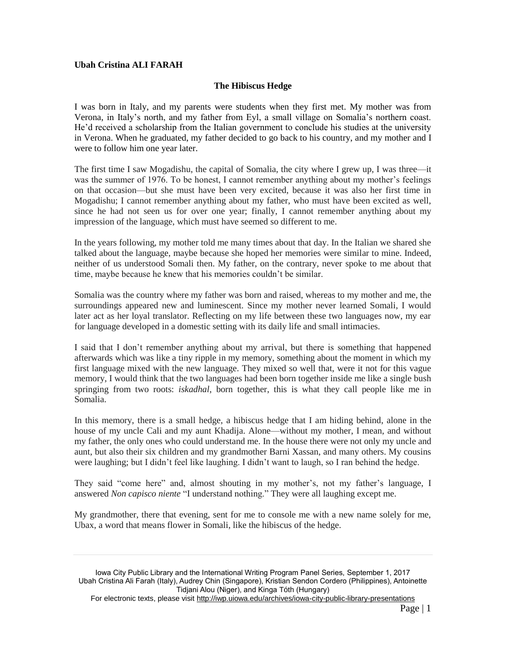## **Ubah Cristina ALI FARAH**

## **The Hibiscus Hedge**

I was born in Italy, and my parents were students when they first met. My mother was from Verona, in Italy's north, and my father from Eyl, a small village on Somalia's northern coast. He'd received a scholarship from the Italian government to conclude his studies at the university in Verona. When he graduated, my father decided to go back to his country, and my mother and I were to follow him one year later.

The first time I saw Mogadishu, the capital of Somalia, the city where I grew up, I was three—it was the summer of 1976. To be honest, I cannot remember anything about my mother's feelings on that occasion—but she must have been very excited, because it was also her first time in Mogadishu; I cannot remember anything about my father, who must have been excited as well, since he had not seen us for over one year; finally, I cannot remember anything about my impression of the language, which must have seemed so different to me.

In the years following, my mother told me many times about that day. In the Italian we shared she talked about the language, maybe because she hoped her memories were similar to mine. Indeed, neither of us understood Somali then. My father, on the contrary, never spoke to me about that time, maybe because he knew that his memories couldn't be similar.

Somalia was the country where my father was born and raised, whereas to my mother and me, the surroundings appeared new and luminescent. Since my mother never learned Somali, I would later act as her loyal translator. Reflecting on my life between these two languages now, my ear for language developed in a domestic setting with its daily life and small intimacies.

I said that I don't remember anything about my arrival, but there is something that happened afterwards which was like a tiny ripple in my memory, something about the moment in which my first language mixed with the new language. They mixed so well that, were it not for this vague memory, I would think that the two languages had been born together inside me like a single bush springing from two roots: *iskadhal*, born together, this is what they call people like me in Somalia.

In this memory, there is a small hedge, a hibiscus hedge that I am hiding behind, alone in the house of my uncle Cali and my aunt Khadija. Alone—without my mother, I mean, and without my father, the only ones who could understand me. In the house there were not only my uncle and aunt, but also their six children and my grandmother Barni Xassan, and many others. My cousins were laughing; but I didn't feel like laughing. I didn't want to laugh, so I ran behind the hedge.

They said "come here" and, almost shouting in my mother's, not my father's language, I answered *Non capisco niente* "I understand nothing." They were all laughing except me.

My grandmother, there that evening, sent for me to console me with a new name solely for me, Ubax, a word that means flower in Somali, like the hibiscus of the hedge.

Iowa City Public Library and the International Writing Program Panel Series, September 1, 2017 Ubah Cristina Ali Farah (Italy), Audrey Chin (Singapore), Kristian Sendon Cordero (Philippines), Antoinette Tidjani Alou (Niger), and Kinga Tóth (Hungary)

For electronic texts, please visit http://iwp.uiowa.edu/archives/iowa-city-public-library-presentations